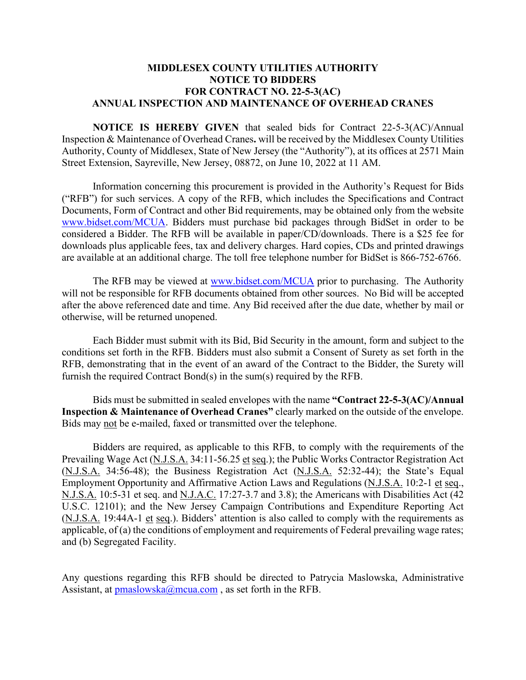## **MIDDLESEX COUNTY UTILITIES AUTHORITY NOTICE TO BIDDERS FOR CONTRACT NO. 22-5-3(AC) ANNUAL INSPECTION AND MAINTENANCE OF OVERHEAD CRANES**

**NOTICE IS HEREBY GIVEN** that sealed bids for Contract 22-5-3(AC)/Annual Inspection & Maintenance of Overhead Cranes**.** will be received by the Middlesex County Utilities Authority, County of Middlesex, State of New Jersey (the "Authority"), at its offices at 2571 Main Street Extension, Sayreville, New Jersey, 08872, on June 10, 2022 at 11 AM.

Information concerning this procurement is provided in the Authority's Request for Bids ("RFB") for such services. A copy of the RFB, which includes the Specifications and Contract Documents, Form of Contract and other Bid requirements, may be obtained only from the website [www.bidset.com/MCUA.](http://www.bidset.com/MCUA) Bidders must purchase bid packages through BidSet in order to be considered a Bidder. The RFB will be available in paper/CD/downloads. There is a \$25 fee for downloads plus applicable fees, tax and delivery charges. Hard copies, CDs and printed drawings are available at an additional charge. The toll free telephone number for BidSet is 866-752-6766.

The RFB may be viewed at [www.bidset.com/MCUA](http://www.bidset.com/MCUA) prior to purchasing. The Authority will not be responsible for RFB documents obtained from other sources. No Bid will be accepted after the above referenced date and time. Any Bid received after the due date, whether by mail or otherwise, will be returned unopened.

Each Bidder must submit with its Bid, Bid Security in the amount, form and subject to the conditions set forth in the RFB. Bidders must also submit a Consent of Surety as set forth in the RFB, demonstrating that in the event of an award of the Contract to the Bidder, the Surety will furnish the required Contract Bond(s) in the sum(s) required by the RFB.

Bids must be submitted in sealed envelopes with the name **"Contract 22-5-3(AC)/Annual Inspection & Maintenance of Overhead Cranes"** clearly marked on the outside of the envelope. Bids may not be e-mailed, faxed or transmitted over the telephone.

Bidders are required, as applicable to this RFB, to comply with the requirements of the Prevailing Wage Act (N.J.S.A. 34:11-56.25 et seq.); the Public Works Contractor Registration Act (N.J.S.A. 34:56-48); the Business Registration Act (N.J.S.A. 52:32-44); the State's Equal Employment Opportunity and Affirmative Action Laws and Regulations (N.J.S.A. 10:2-1 et seq., N.J.S.A. 10:5-31 et seq. and N.J.A.C. 17:27-3.7 and 3.8); the Americans with Disabilities Act (42 U.S.C. 12101); and the New Jersey Campaign Contributions and Expenditure Reporting Act (N.J.S.A. 19:44A-1 et seq.). Bidders' attention is also called to comply with the requirements as applicable, of (a) the conditions of employment and requirements of Federal prevailing wage rates; and (b) Segregated Facility.

Any questions regarding this RFB should be directed to Patrycia Maslowska, Administrative Assistant, at  $p$ maslowska@mcua.com, as set forth in the RFB.